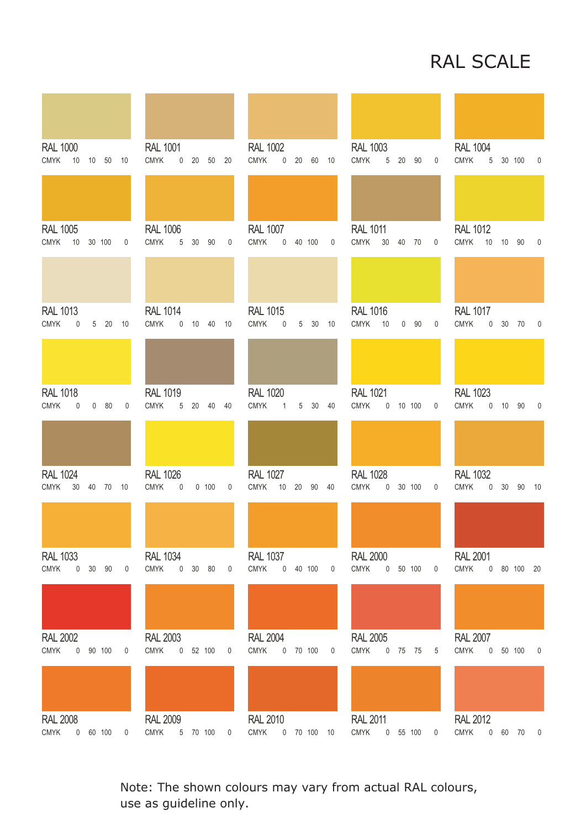## RAL SCALE

| <b>RAL 1000</b><br><b>CMYK</b><br>10 | 10             | 50                  | 10          | <b>RAL 1001</b><br><b>CMYK</b> | $\overline{0}$  | 20          | 50         | 20 | <b>RAL 1002</b><br><b>CMYK</b> | 0              | 20         | 60              | 10 | <b>RAL 1003</b><br><b>CMYK</b> | 5  | 20             | 90 | 0           | <b>RAL 1004</b><br><b>CMYK</b> | 5              |    | 30 100      | 0                        |
|--------------------------------------|----------------|---------------------|-------------|--------------------------------|-----------------|-------------|------------|----|--------------------------------|----------------|------------|-----------------|----|--------------------------------|----|----------------|----|-------------|--------------------------------|----------------|----|-------------|--------------------------|
|                                      |                |                     |             |                                |                 |             |            |    |                                |                |            |                 |    |                                |    |                |    |             |                                |                |    |             |                          |
| <b>RAL 1005</b><br><b>CMYK</b><br>10 |                | 30 100              | $\mathbf 0$ | <b>RAL 1006</b><br><b>CMYK</b> | 5               | 30          | 90         | 0  | <b>RAL 1007</b><br><b>CMYK</b> | $\mathsf{O}$   | 40 100     |                 | 0  | <b>RAL 1011</b><br><b>CMYK</b> | 30 | 40             | 70 | 0           | <b>RAL 1012</b><br><b>CMYK</b> | 10             |    | 10 90       | 0                        |
|                                      |                |                     |             |                                |                 |             |            |    |                                |                |            |                 |    |                                |    |                |    |             |                                |                |    |             |                          |
| <b>RAL 1013</b><br><b>CMYK</b>       | 0              | 20<br>5             | 10          | <b>RAL 1014</b><br><b>CMYK</b> |                 |             | 0 10 40 10 |    | <b>RAL 1015</b><br><b>CMYK</b> | $\pmb{0}$      | 5          | $30\,$          | 10 | <b>RAL 1016</b><br><b>CMYK</b> | 10 | $\overline{0}$ | 90 | 0           | <b>RAL 1017</b><br><b>CMYK</b> | 0              | 30 | 70          | $\overline{\phantom{0}}$ |
|                                      |                |                     |             |                                |                 |             |            |    |                                |                |            |                 |    |                                |    |                |    |             |                                |                |    |             |                          |
| <b>RAL 1018</b><br><b>CMYK</b>       | 0              | 0<br>80             | 0           | <b>RAL 1019</b><br><b>CMYK</b> |                 |             | 5 20 40 40 |    | <b>RAL 1020</b><br><b>CMYK</b> | $\overline{1}$ | 5          | 30 <sup>°</sup> | 40 | <b>RAL 1021</b><br><b>CMYK</b> |    | 0 10 100       |    | 0           | <b>RAL 1023</b><br><b>CMYK</b> | $\mathbf 0$    | 10 | - 90        | $\mathbf 0$              |
|                                      |                |                     |             |                                |                 |             |            |    |                                |                |            |                 |    |                                |    |                |    |             |                                |                |    |             |                          |
| <b>RAL 1024</b><br><b>CMYK</b><br>30 |                | 40 70 10            |             | <b>RAL 1026</b><br><b>CMYK</b> | $\mathbf 0$     |             | 0 100      | 0  | <b>RAL 1027</b><br><b>CMYK</b> | 10             | 20         | 90 40           |    | <b>RAL 1028</b><br><b>CMYK</b> |    | 0 30 100       |    | $\mathbf 0$ | <b>RAL 1032</b><br><b>CMYK</b> | $\overline{0}$ | 30 | 90          | - 10                     |
|                                      |                |                     |             |                                |                 |             |            |    |                                |                |            |                 |    |                                |    |                |    |             |                                |                |    |             |                          |
| <b>RAL 1033</b><br><b>CMYK</b>       |                | $0\quad 30\quad 90$ | 0           | <b>RAL 1034</b><br><b>CMYK</b> |                 | $0\quad 30$ | 80         | 0  | <b>RAL 1037</b><br><b>CMYK</b> |                | $0$ 40 100 |                 | 0  | <b>RAL 2000</b><br><b>CMYK</b> |    | 0 50 100       |    | 0           | <b>RAL 2001</b><br><b>CMYK</b> |                |    | 0 80 100 20 |                          |
|                                      |                |                     |             |                                |                 |             |            |    |                                |                |            |                 |    |                                |    |                |    |             |                                |                |    |             |                          |
| <b>RAL 2002</b><br><b>CMYK</b>       |                | $0$ 90 100          | 0           | <b>CMYK</b>                    | <b>RAL 2003</b> | 0 52 100    |            | 0  | <b>RAL 2004</b><br><b>CMYK</b> |                | 0 70 100   |                 | 0  | <b>RAL 2005</b><br><b>CMYK</b> |    | 0 75 75        |    | 5           | <b>RAL 2007</b><br><b>CMYK</b> | $\overline{0}$ |    | 50 100      | 0                        |
|                                      |                |                     |             |                                |                 |             |            |    |                                |                |            |                 |    |                                |    |                |    |             |                                |                |    |             |                          |
| <b>RAL 2008</b><br>CMYK              | $\overline{0}$ | 60 100              | 0           | <b>RAL 2009</b><br>CMYK        |                 | 5 70 100    |            | 0  | <b>RAL 2010</b><br><b>CMYK</b> |                |            | 0 70 100 10     |    | <b>RAL 2011</b><br>CMYK        |    | 0 55 100       |    | 0           | <b>RAL 2012</b><br>CMYK        | $\mathbf 0$    | 60 | 70          | 0                        |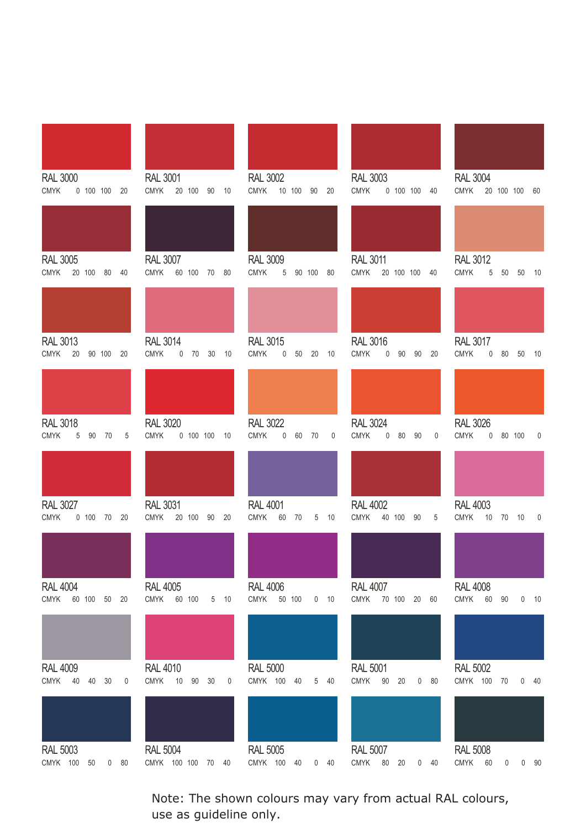| <b>RAL 3000</b><br><b>CMYK</b><br>0 100 100 20        | <b>RAL 3001</b><br><b>CMYK</b><br>20 100 90 10        | <b>RAL 3002</b><br>CMYK 10 100 90 20                     | <b>RAL 3003</b><br><b>CMYK</b><br>0 100 100 40        | <b>RAL 3004</b><br>CMYK 20 100 100 60                         |
|-------------------------------------------------------|-------------------------------------------------------|----------------------------------------------------------|-------------------------------------------------------|---------------------------------------------------------------|
|                                                       |                                                       |                                                          |                                                       |                                                               |
| <b>RAL 3005</b><br>CMYK 20 100 80 40                  | <b>RAL 3007</b><br><b>CMYK</b><br>60 100 70 80        | <b>RAL 3009</b><br><b>CMYK</b><br>5 90 100 80            | <b>RAL 3011</b><br>CMYK 20 100 100 40                 | <b>RAL 3012</b><br><b>CMYK</b><br>5<br>50 50<br>- 10          |
|                                                       |                                                       |                                                          |                                                       |                                                               |
| <b>RAL 3013</b><br>CMYK 20<br>90 100 20               | <b>RAL 3014</b><br><b>CMYK</b><br>0 70 30 10          | <b>RAL 3015</b><br><b>CMYK</b><br>0 50 20 10             | <b>RAL 3016</b><br><b>CMYK</b><br>0 90 90 20          | <b>RAL 3017</b><br><b>CMYK</b><br>$0\quad 80\quad 50$<br>10   |
|                                                       |                                                       |                                                          |                                                       |                                                               |
| <b>RAL 3018</b><br><b>CMYK</b><br>5 90 70<br>5        | <b>RAL 3020</b><br>CMYK  0 100 100 10                 | <b>RAL 3022</b><br><b>CMYK</b><br>0 60 70<br>$\mathbf 0$ | <b>RAL 3024</b><br><b>CMYK</b><br>0 80 90<br>0        | <b>RAL 3026</b><br>CMYK  0 80 100<br>0                        |
|                                                       |                                                       |                                                          |                                                       |                                                               |
| <b>RAL 3027</b><br>CMYK  0 100  70  20                | <b>RAL 3031</b><br>CMYK 20 100 90 20                  | <b>RAL 4001</b><br>CMYK 60 70 5 10                       | <b>RAL 4002</b><br>CMYK 40 100 90<br>5 <sub>5</sub>   | <b>RAL 4003</b><br>CMYK 10 70 10<br>$\mathbf 0$               |
|                                                       |                                                       |                                                          |                                                       |                                                               |
| <b>RAL 4004</b><br><b>CMYK</b><br>60 100<br>50<br>20  | <b>RAL 4005</b><br>CMYK<br>60 100<br>5<br>10          | <b>RAL 4006</b><br>CMYK<br>50 100<br>0<br>10             | <b>RAL 4007</b><br><b>CMYK</b><br>70 100<br>20<br>60  | <b>RAL 4008</b><br><b>CMYK</b><br>60<br>$\pmb{0}$<br>90<br>10 |
|                                                       |                                                       |                                                          |                                                       |                                                               |
| <b>RAL 4009</b><br><b>CMYK</b><br>40<br>40<br>30<br>0 | <b>RAL 4010</b><br><b>CMYK</b><br>10<br>90<br>30<br>0 | <b>RAL 5000</b><br>CMYK 100<br>5<br>40<br>40             | <b>RAL 5001</b><br><b>CMYK</b><br>90<br>0<br>80<br>20 | <b>RAL 5002</b><br>CMYK 100<br>0<br>70<br>40                  |
|                                                       |                                                       |                                                          |                                                       |                                                               |
| <b>RAL 5003</b><br>CMYK 100 50 0 80                   | <b>RAL 5004</b><br>CMYK 100 100 70 40                 | <b>RAL 5005</b><br>CMYK 100 40 0 40                      | <b>RAL 5007</b><br>CMYK 80 20 0 40                    | <b>RAL 5008</b><br>CMYK 60<br>$0 \quad 0 \quad 90$            |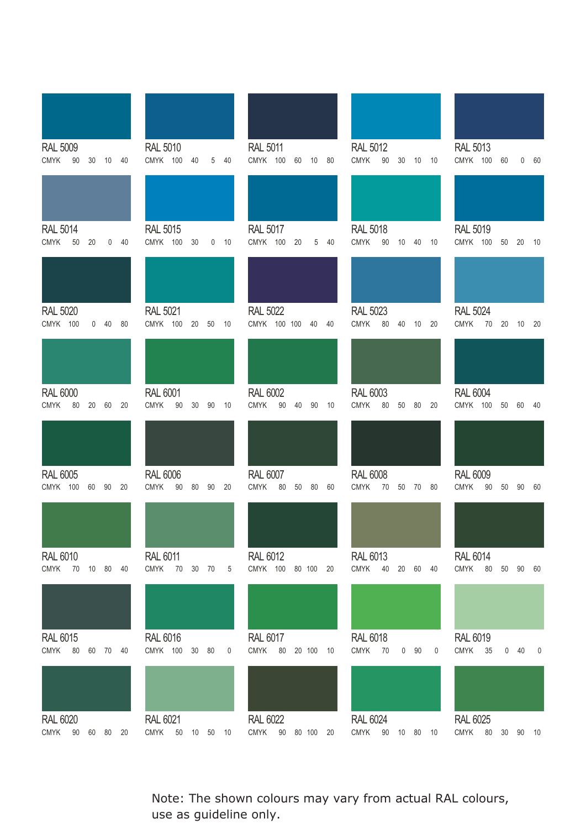| <b>RAL 5009</b><br><b>CMYK</b><br>90<br>30  10  40   | <b>RAL 5010</b><br>CMYK 100<br>40<br>5 <sup>5</sup><br>40 | <b>RAL 5011</b><br>CMYK 100 60 10 80                | <b>RAL 5012</b><br><b>CMYK</b><br>90<br>30<br>10 10 | <b>RAL 5013</b><br>CMYK 100<br>60<br>0 60                         |
|------------------------------------------------------|-----------------------------------------------------------|-----------------------------------------------------|-----------------------------------------------------|-------------------------------------------------------------------|
|                                                      |                                                           |                                                     |                                                     |                                                                   |
| <b>RAL 5014</b><br><b>CMYK</b><br>50<br>20<br>$0$ 40 | <b>RAL 5015</b><br>CMYK 100<br>30<br>$0$ 10               | <b>RAL 5017</b><br>CMYK 100 20<br>5 40              | <b>RAL 5018</b><br><b>CMYK</b><br>90<br>10 40 10    | <b>RAL 5019</b><br>CMYK 100<br>50 20<br>- 10                      |
|                                                      |                                                           |                                                     |                                                     |                                                                   |
| <b>RAL 5020</b><br>CMYK 100<br>0 40 80               | <b>RAL 5021</b><br>CMYK 100<br>20 50 10                   | <b>RAL 5022</b><br>CMYK 100 100 40 40               | <b>RAL 5023</b><br><b>CMYK</b><br>80<br>40<br>10 20 | <b>RAL 5024</b><br>CMYK 70 20 10 20                               |
|                                                      |                                                           |                                                     |                                                     |                                                                   |
| <b>RAL 6000</b><br>CMYK 80 20 60 20                  | <b>RAL 6001</b><br>CMYK 90<br>30 90 10                    | <b>RAL 6002</b><br><b>CMYK</b><br>90  40  90  10    | <b>RAL 6003</b><br>CMYK 80<br>50<br>80 20           | <b>RAL 6004</b><br>CMYK 100 50 60<br>-40                          |
|                                                      |                                                           |                                                     |                                                     |                                                                   |
| <b>RAL 6005</b><br>CMYK 100 60 90 20                 | <b>RAL 6006</b><br>CMYK 90<br>80<br>90<br>20              | <b>RAL 6007</b><br><b>CMYK</b><br>80<br>50 80<br>60 | <b>RAL 6008</b><br>CMYK 70 50 70 80                 | <b>RAL 6009</b><br><b>CMYK</b><br>90<br>50 90<br>60               |
|                                                      |                                                           |                                                     |                                                     |                                                                   |
| <b>RAL 6010</b><br><b>CMYK</b><br>70 10 80 40        | <b>RAL 6011</b><br><b>CMYK</b><br>70<br>30 70<br>5        | <b>RAL 6012</b><br>CMYK 100 80 100 20               | RAL 6013<br><b>CMYK</b><br>40 20<br>60<br>40        | <b>RAL 6014</b><br><b>CMYK</b><br>$80\,$<br>50<br>90<br>60        |
|                                                      |                                                           |                                                     |                                                     |                                                                   |
| <b>RAL 6015</b><br>CMYK 80<br>60 70 40               | <b>RAL 6016</b><br>CMYK 100 30 80<br>0                    | <b>RAL 6017</b><br><b>CMYK</b><br>80<br>20 100 10   | <b>RAL 6018</b><br><b>CMYK</b><br>70<br>$0$ 90<br>0 | <b>RAL 6019</b><br><b>CMYK</b><br>35<br>40<br>$\overline{0}$<br>0 |
| <b>RAL 6020</b>                                      | <b>RAL 6021</b>                                           | <b>RAL 6022</b>                                     | <b>RAL 6024</b>                                     | <b>RAL 6025</b>                                                   |
| CMYK 90 60 80<br>20                                  | <b>CMYK</b><br>50<br>10 50 10                             | CMYK 90 80 100 20                                   | CMYK 90 10 80<br>10                                 | <b>CMYK</b><br>80<br>30 90<br>10                                  |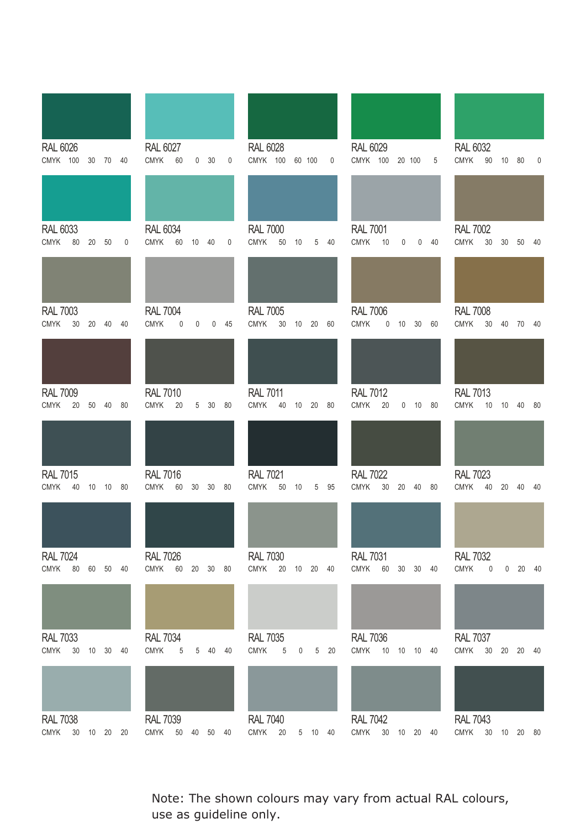| <b>RAL 6026</b><br>CMYK 100 30 70 40               | <b>RAL 6027</b><br><b>CMYK</b><br>60<br>$0\quad 30$<br>$\mathbf 0$ | <b>RAL 6028</b><br>CMYK 100 60 100<br>$\mathbf 0$                                           | <b>RAL 6029</b><br>CMYK 100 20 100<br>5                          | <b>RAL 6032</b><br><b>CMYK</b><br>90<br>10 80<br>$\mathbf 0$        |
|----------------------------------------------------|--------------------------------------------------------------------|---------------------------------------------------------------------------------------------|------------------------------------------------------------------|---------------------------------------------------------------------|
|                                                    |                                                                    |                                                                                             |                                                                  |                                                                     |
| <b>RAL 6033</b><br>CMYK 80<br>20 50<br>$\mathbf 0$ | <b>RAL 6034</b><br><b>CMYK</b><br>60<br>10 40<br>0                 | <b>RAL 7000</b><br><b>CMYK</b><br>$50\,$<br>10<br>5 40                                      | <b>RAL 7001</b><br><b>CMYK</b><br>10<br>0<br>$0$ 40              | <b>RAL 7002</b><br><b>CMYK</b><br>30<br>30<br>50<br>40              |
|                                                    |                                                                    |                                                                                             |                                                                  |                                                                     |
| <b>RAL 7003</b><br><b>CMYK</b><br>20 40 40<br>30   | <b>RAL 7004</b><br><b>CMYK</b><br>$\pmb{0}$<br>0<br>$0$ 45         | <b>RAL 7005</b><br><b>CMYK</b><br>30<br>10 20 60                                            | <b>RAL 7006</b><br><b>CMYK</b><br>0 10 30 60                     | <b>RAL 7008</b><br><b>CMYK</b><br>$30\,$<br>40 70 40                |
|                                                    |                                                                    |                                                                                             |                                                                  |                                                                     |
| <b>RAL 7009</b><br>CMYK 20<br>50 40 80             | <b>RAL 7010</b><br><b>CMYK</b><br>20<br>5 30 80                    | <b>RAL 7011</b><br><b>CMYK</b><br>40<br>10 20 80                                            | <b>RAL 7012</b><br><b>CMYK</b><br>20<br>$0$ 10 80                | <b>RAL 7013</b><br>CMYK 10 10 40 80                                 |
|                                                    |                                                                    |                                                                                             |                                                                  |                                                                     |
| <b>RAL 7015</b><br>CMYK 40<br>10 10 80             | <b>RAL 7016</b><br><b>CMYK</b><br>60<br>30<br>30 80                | <b>RAL 7021</b><br><b>CMYK</b><br>50<br>10<br>5 95                                          | <b>RAL 7022</b><br><b>CMYK</b><br>30 <sup>°</sup><br>20<br>40 80 | <b>RAL 7023</b><br><b>CMYK</b><br>40<br>20<br>40<br>40              |
|                                                    |                                                                    |                                                                                             |                                                                  |                                                                     |
| <b>RAL 7024</b><br>CMYK 80<br>60 50 40             | <b>RAL 7026</b><br>CMYK 60 20 30 80                                | <b>RAL 7030</b><br>CMYK 20 10 20 40                                                         | <b>RAL 7031</b><br>CMYK 60 30 30 40                              | <b>RAL 7032</b><br><b>CMYK</b><br>0<br>20<br>- 40<br>$\overline{0}$ |
|                                                    |                                                                    |                                                                                             |                                                                  |                                                                     |
| <b>RAL 7033</b><br>CMYK 30 10 30 40                | <b>RAL 7034</b><br><b>CMYK</b><br>$5\phantom{.0}$<br>5 40 40       | <b>RAL 7035</b><br><b>CMYK</b><br>$\,$ 5 $\,$<br>$20\,$<br>5 <sup>5</sup><br>$\overline{0}$ | <b>RAL 7036</b><br><b>CMYK</b><br>10 10 10 40                    | <b>RAL 7037</b><br><b>CMYK</b><br>30<br>20 20 40                    |
|                                                    |                                                                    |                                                                                             |                                                                  |                                                                     |
| <b>RAL 7038</b><br>CMYK 30 10 20 20                | <b>RAL 7039</b><br>CMYK 50 40 50 40                                | <b>RAL 7040</b><br>CMYK 20<br>5 10 40                                                       | <b>RAL 7042</b><br>CMYK 30 10 20 40                              | <b>RAL 7043</b><br>CMYK 30 10 20 80                                 |